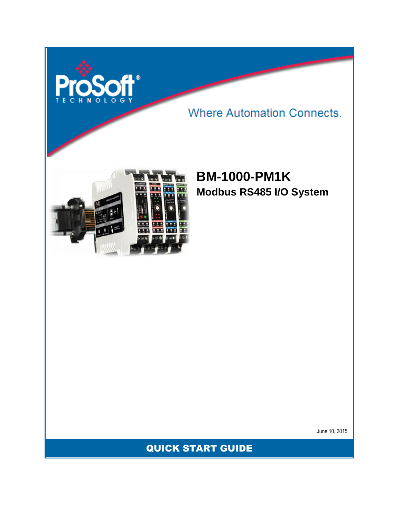

**Where Automation Connects.** 



# **BM-1000-PM1K Modbus RS485 I/O System**

June 10, 2015

QUICK START GUIDE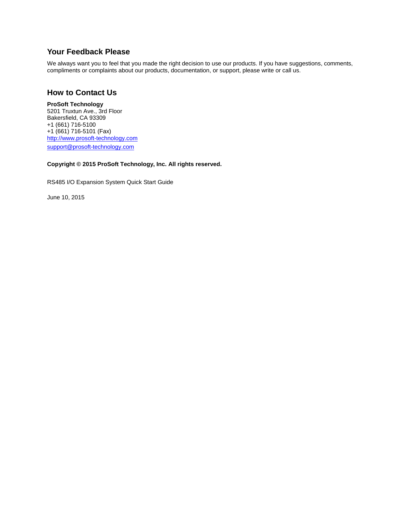#### **Your Feedback Please**

We always want you to feel that you made the right decision to use our products. If you have suggestions, comments, compliments or complaints about our products, documentation, or support, please write or call us.

#### **How to Contact Us**

**ProSoft Technology** 5201 Truxtun Ave., 3rd Floor Bakersfield, CA 93309 +1 (661) 716-5100 +1 (661) 716-5101 (Fax) [http://www.prosoft-technology.com](http://www.prosoft-technology.com/) [support@prosoft-technology.com](mailto:support@prosoft-technology.com)

#### **Copyright © 2015 ProSoft Technology, Inc. All rights reserved.**

RS485 I/O Expansion System Quick Start Guide

June 10, 2015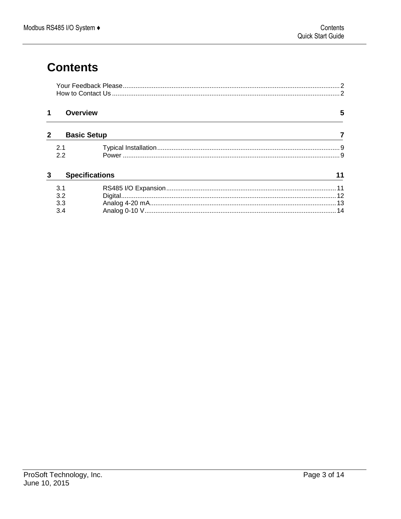# **Contents**

| <b>Overview</b>       |                    | 5 |
|-----------------------|--------------------|---|
|                       | <b>Basic Setup</b> |   |
| 2 <sub>1</sub>        |                    |   |
| 2.2                   |                    |   |
| <b>Specifications</b> |                    |   |
| 3.1                   |                    |   |
| 3.2                   |                    |   |
| 3.3                   |                    |   |
| 3.4                   |                    |   |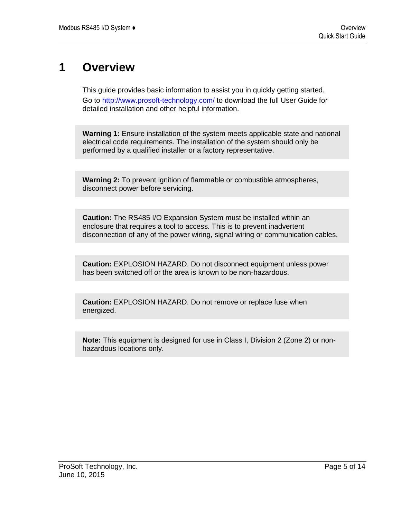### **1 Overview**

This guide provides basic information to assist you in quickly getting started. Go to<http://www.prosoft-technology.com/> to download the full User Guide for detailed installation and other helpful information.

**Warning 1:** Ensure installation of the system meets applicable state and national electrical code requirements. The installation of the system should only be performed by a qualified installer or a factory representative.

**Warning 2:** To prevent ignition of flammable or combustible atmospheres, disconnect power before servicing.

**Caution:** The RS485 I/O Expansion System must be installed within an enclosure that requires a tool to access. This is to prevent inadvertent disconnection of any of the power wiring, signal wiring or communication cables.

**Caution:** EXPLOSION HAZARD. Do not disconnect equipment unless power has been switched off or the area is known to be non-hazardous.

**Caution:** EXPLOSION HAZARD. Do not remove or replace fuse when energized.

**Note:** This equipment is designed for use in Class I, Division 2 (Zone 2) or nonhazardous locations only.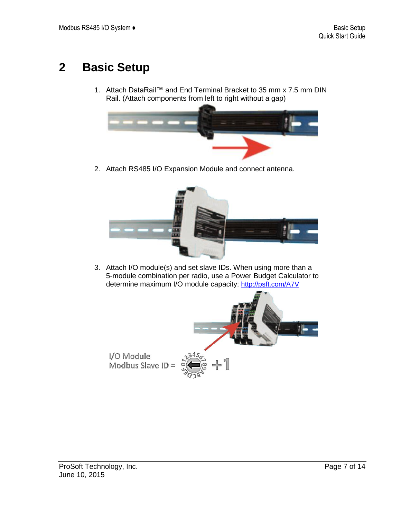# **2 Basic Setup**

1. Attach DataRail™ and End Terminal Bracket to 35 mm x 7.5 mm DIN Rail. (Attach components from left to right without a gap)



2. Attach RS485 I/O Expansion Module and connect antenna.



3. Attach I/O module(s) and set slave IDs. When using more than a 5-module combination per radio, use a Power Budget Calculator to determine maximum I/O module capacity: <http://psft.com/A7V>

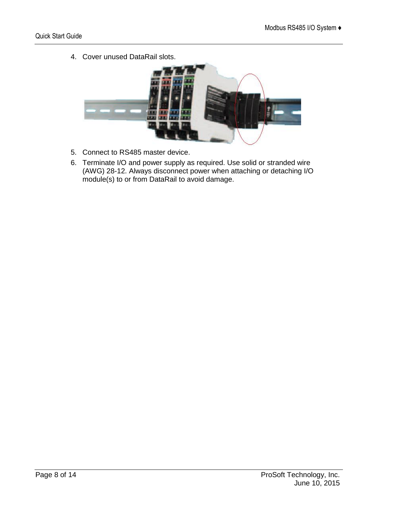4. Cover unused DataRail slots.



- 5. Connect to RS485 master device.
- 6. Terminate I/O and power supply as required. Use solid or stranded wire (AWG) 28-12. Always disconnect power when attaching or detaching I/O module(s) to or from DataRail to avoid damage.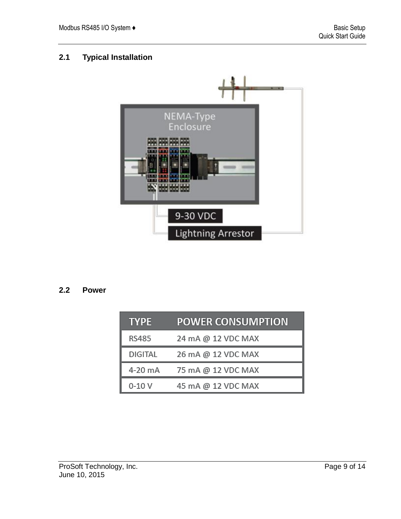### **2.1 Typical Installation**



#### **2.2 Power**

| <b>TYPE</b> | <b>POWER CONSUMPTION</b> |
|-------------|--------------------------|
| RS485       | 24 mA @ 12 VDC MAX       |
| DIGITAL     | 26 mA @ 12 VDC MAX       |
| 4-20 mA     | 75 mA @ 12 VDC MAX       |
| $0-10V$     | 45 mA @ 12 VDC MAX       |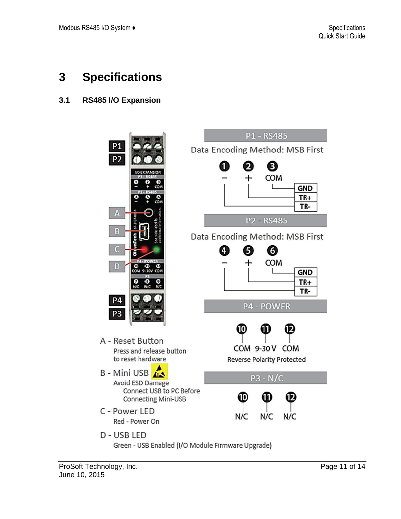### **3 Specifications**

### **3.1 RS485 I/O Expansion**



Green - USB Enabled (I/O Module Firmware Upgrade)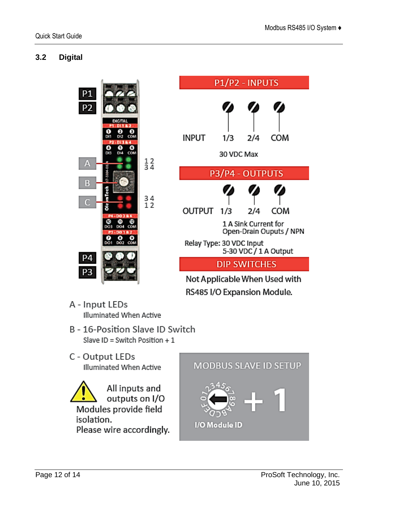#### **3.2 Digital**





- A Input LEDs Illuminated When Active
- B 16-Position Slave ID Switch Slave ID = Switch Position  $+1$
- C Output LEDs Illuminated When Active
- All inputs and outputs on I/O Modules provide field isolation. Please wire accordingly.



I/O Module ID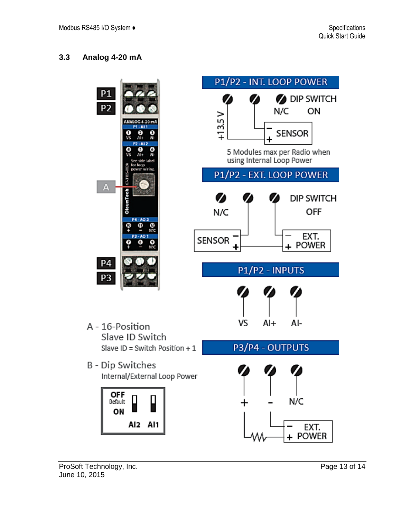#### **3.3 Analog 4-20 mA**